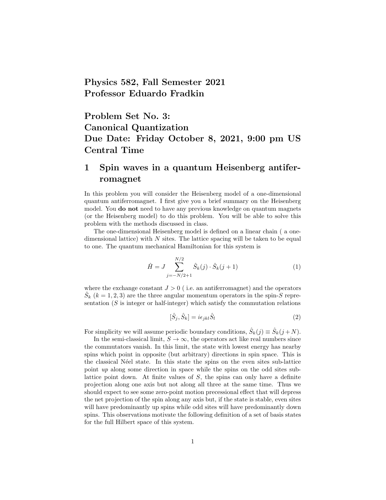Physics 582, Fall Semester 2021 Professor Eduardo Fradkin

Problem Set No. 3: Canonical Quantization Due Date: Friday October 8, 2021, 9:00 pm US Central Time

## 1 Spin waves in a quantum Heisenberg antiferromagnet

In this problem you will consider the Heisenberg model of a one-dimensional quantum antiferromagnet. I first give you a brief summary on the Heisenberg model. You do not need to have any previous knowledge on quantum magnets (or the Heisenberg model) to do this problem. You will be able to solve this problem with the methods discussed in class.

The one-dimensional Heisenberg model is defined on a linear chain ( a onedimensional lattice) with  $N$  sites. The lattice spacing will be taken to be equal to one. The quantum mechanical Hamiltonian for this system is

$$
\hat{H} = J \sum_{j=-N/2+1}^{N/2} \hat{S}_k(j) \cdot \hat{S}_k(j+1)
$$
\n(1)

where the exchange constant  $J > 0$  (i.e. an antiferromagnet) and the operators  $\hat{S}_k$  ( $k = 1, 2, 3$ ) are the three angular momentum operators in the spin-S representation  $(S$  is integer or half-integer) which satisfy the commutation relations

$$
[\hat{S}_j, \hat{S}_k] = i\epsilon_{jkl}\hat{S}_l
$$
\n(2)

For simplicity we will assume periodic boundary conditions,  $\hat{S}_k(j) \equiv \hat{S}_k(j+N)$ .

In the semi-classical limit,  $S \to \infty$ , the operators act like real numbers since the commutators vanish. In this limit, the state with lowest energy has nearby spins which point in opposite (but arbitrary) directions in spin space. This is the classical Néel state. In this state the spins on the even sites sub-lattice point up along some direction in space while the spins on the odd sites sublattice point down. At finite values of  $S$ , the spins can only have a definite projection along one axis but not along all three at the same time. Thus we should expect to see some zero-point motion precessional effect that will depress the net projection of the spin along any axis but, if the state is stable, even sites will have predominantly up spins while odd sites will have predominantly down spins. This observations motivate the following definition of a set of basis states for the full Hilbert space of this system.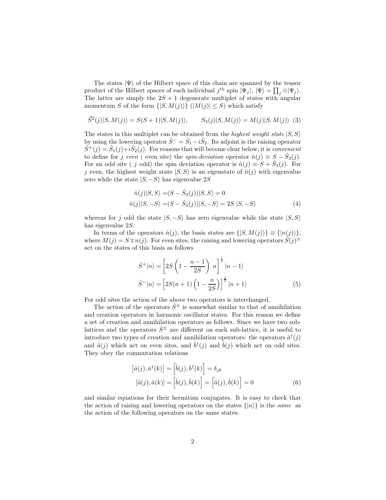The states  $|\Psi\rangle$  of the Hilbert space of this chain are spanned by the tensor product of the Hilbert spaces of each individual  $j^{\text{th}}$  spin  $|\Psi_j\rangle$ ,  $|\Psi\rangle = \prod_j \otimes |\Psi_j\rangle$ . The latter are simply the  $2S + 1$  degenerate multiplet of states with angular momentum S of the form  $\{|S, M(j)\rangle\}$   $(|M(j)| \leq S)$  which satisfy

$$
\vec{S}^2(j)|S,M(j)\rangle = S(S+1)|S,M(j)\rangle, \qquad S_3(j)|S,M(j)\rangle = M(j)|S,M(j)\rangle \tag{3}
$$

The states in this multiplet can be obtained from the *highest weight state*  $|S, S\rangle$ by using the lowering operator  $\hat{S}^- = \hat{S}_1 - i\hat{S}_2$ . Its adjoint is the raising operator  $\hat{S}^+(j) = \hat{S}_1(j) + i\hat{S}_2(j)$ . For reasons that will become clear below, it is *convenient* to define for j even ( even site) the spin-deviation operator  $\hat{n}(j) \equiv S - \hat{S}_3(j)$ . For an odd site ( j odd) the spin deviation operator is  $\hat{n}(j) \equiv S + \hat{S}_3(j)$ . For j even, the highest weight state  $|S, S\rangle$  is an eigenstate of  $\hat{n}(j)$  with eigenvalue zero while the state  $|S, -S\rangle$  has eigenvalue 2S

$$
\hat{n}(j)|S,S\rangle = (S - \hat{S}_3(j))|S,S\rangle = 0
$$
  

$$
\hat{n}(j)|S,-S\rangle = (S - \hat{S}_3(j))|S,-S\rangle = 2S|S,-S\rangle
$$
 (4)

whereas for j odd the state  $|S, -S\rangle$  has zero eigenvalue while the state  $|S, S\rangle$ has eigenvalue 2S.

In terms of the operators  $\hat{n}(j)$ , the basis states are  $\{|S, M(j)\rangle\} \equiv \{|n(j)\rangle\},$ where  $M(j) = S \mp n(j)$ . For even sites, the raising and lowering operators  $\hat{S}(j)$ <sup> $\pm$ </sup> act on the states of this basis as follows

$$
\hat{S}^+|n\rangle = \left[2S\left(1 - \frac{n-1}{2S}\right)n\right]^{\frac{1}{2}}|n-1\rangle
$$
  

$$
\hat{S}^-|n\rangle = \left[2S(n+1)\left(1 - \frac{n}{2S}\right)\right]^{\frac{1}{2}}|n+1\rangle
$$
 (5)

For odd sites the action of the above two operators is interchanged.

The action of the operators  $\hat{S}^{\pm}$  is somewhat similar to that of annihilation and creation operators in harmonic oscillator states. For this reason we define a set of creation and annihilation operators as follows. Since we have two sublattices and the operators  $\hat{S}^{\pm}$  are different on each sub-lattice, it is useful to introduce two types of creation and annihilation operators: the operators  $\hat{a}^{\dagger}(j)$ and  $\hat{a}(j)$  which act on even sites, and  $\hat{b}^{\dagger}(j)$  and  $\hat{b}(j)$  which act on odd sites. They obey the commutation relations

$$
[\hat{a}(j), \hat{a}^\dagger(k)] = [\hat{b}(j), \hat{b}^\dagger(k)] = \delta_{jk}
$$

$$
[\hat{a}(j), \hat{a}(k)] = [\hat{b}(j), \hat{b}(k)] = [\hat{a}(j), \hat{b}(k)] = 0
$$
(6)

and similar equations for their hermitian conjugates. It is easy to check that the action of raising and lowering operators on the states  $\{|n\rangle\}$  is the same as the action of the following operators on the same states: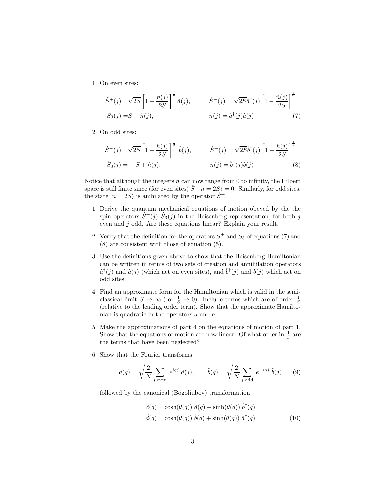1. On even sites:

$$
\hat{S}^+(j) = \sqrt{2S} \left[ 1 - \frac{\hat{n}(j)}{2S} \right]^{\frac{1}{2}} \hat{a}(j), \qquad \hat{S}^-(j) = \sqrt{2S} \hat{a}^\dagger(j) \left[ 1 - \frac{\hat{n}(j)}{2S} \right]^{\frac{1}{2}}
$$

$$
\hat{S}_3(j) = S - \hat{n}(j), \qquad \hat{n}(j) = \hat{a}^\dagger(j)\hat{a}(j) \tag{7}
$$

2. On odd sites:

$$
\hat{S}^{-}(j) = \sqrt{2S} \left[ 1 - \frac{\hat{n}(j)}{2S} \right]^{\frac{1}{2}} \hat{b}(j), \qquad \hat{S}^{+}(j) = \sqrt{2S}\hat{b}^{\dagger}(j) \left[ 1 - \frac{\hat{n}(j)}{2S} \right]^{\frac{1}{2}}
$$
  

$$
\hat{S}_{3}(j) = -S + \hat{n}(j), \qquad \hat{n}(j) = \hat{b}^{\dagger}(j)\hat{b}(j)
$$
(8)

Notice that although the integers  $n$  can now range from 0 to infinity, the Hilbert space is still finite since (for even sites)  $\hat{S}^-|n=2S\rangle = 0$ . Similarly, for odd sites, the state  $|n = 2S\rangle$  is anihilated by the operator  $\hat{S}^+$ .

- 1. Derive the quantum mechanical equations of motion obeyed by the the spin operators  $\hat{S}^{\pm}(j)$ ,  $\hat{S}_3(j)$  in the Heisenberg representation, for both j even and j odd. Are these equations linear? Explain your result.
- 2. Verify that the definition for the operators  $S^{\pm}$  and  $S_3$  of equations (7) and (8) are consistent with those of equation (5).
- 3. Use the definitions given above to show that the Heisenberg Hamiltonian can be written in terms of two sets of creation and annihilation operators  $\hat{a}^{\dagger}(j)$  and  $\hat{a}(j)$  (which act on even sites), and  $\hat{b}^{\dagger}(j)$  and  $\hat{b}(j)$  which act on odd sites.
- 4. Find an approximate form for the Hamiltonian which is valid in the semiclassical limit  $S \to \infty$  ( or  $\frac{1}{S} \to 0$ ). Include terms which are of order  $\frac{1}{S}$ (relative to the leading order term). Show that the approximate Hamiltonian is quadratic in the operators a and b.
- 5. Make the approximations of part 4 on the equations of motion of part 1. Show that the equations of motion are now linear. Of what order in  $\frac{1}{S}$  are the terms that have been neglected?
- 6. Show that the Fourier transforms

$$
\hat{a}(q) = \sqrt{\frac{2}{N}} \sum_{j \text{ even}} e^{iqj} \hat{a}(j), \qquad \hat{b}(q) = \sqrt{\frac{2}{N}} \sum_{j \text{ odd}} e^{-iqj} \hat{b}(j) \qquad (9)
$$

followed by the canonical (Bogoliubov) transformation

$$
\hat{c}(q) = \cosh(\theta(q)) \hat{a}(q) + \sinh(\theta(q)) \hat{b}^{\dagger}(q)
$$
  

$$
\hat{d}(q) = \cosh(\theta(q)) \hat{b}(q) + \sinh(\theta(q)) \hat{a}^{\dagger}(q)
$$
 (10)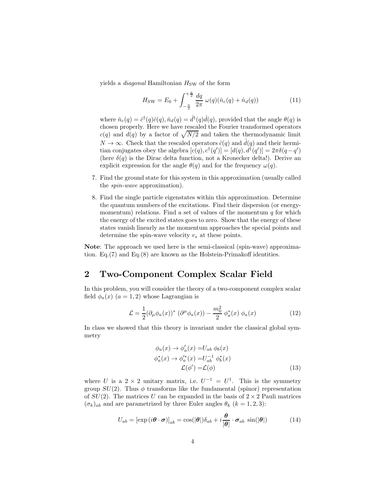yields a *diagonal* Hamiltonian  $H_{SW}$  of the form

$$
H_{\rm SW} = E_0 + \int_{-\frac{\pi}{2}}^{+\frac{\pi}{2}} \frac{dq}{2\pi} \,\omega(q)(\hat{n}_c(q) + \hat{n}_d(q)) \tag{11}
$$

where  $\hat{n}_c(q) = \hat{c}^\dagger(q)\hat{c}(q), \hat{n}_d(q) = \hat{d}^\dagger(q)\hat{d}(q)$ , provided that the angle  $\theta(q)$  is chosen properly. Here we have rescaled the Fourier transformed operators  $c(q)$  and  $d(q)$  by a factor of  $\sqrt{N/2}$  and taken the thermodynamic limit  $N \to \infty$ . Check that the rescaled operators  $\hat{c}(q)$  and  $\hat{d}(q)$  and their hermitian conjugates obey the algebra  $[c(q), c^{\dagger}(q')] = [d(q), d^{\dagger}(q')] = 2\pi\delta(q-q')$ (here  $\delta(q)$  is the Dirac delta function, not a Kronecker delta!). Derive an explicit expression for the angle  $\theta(q)$  and for the frequency  $\omega(q)$ .

- 7. Find the ground state for this system in this approximation (usually called the spin-wave approximation).
- 8. Find the single particle eigenstates within this approximation. Determine the quantum numbers of the excitations. Find their dispersion (or energymomentum) relations. Find a set of values of the momentum  $q$  for which the energy of the excited states goes to zero. Show that the energy of these states vanish linearly as the momentum approaches the special points and determine the spin-wave velocity  $v_s$  at these points.

Note: The approach we used here is the semi-classical (spin-wave) approximation. Eq.(7) and Eq.(8) are known as the Holstein-Primakoff identities.

## 2 Two-Component Complex Scalar Field

In this problem, you will consider the theory of a two-component complex scalar field  $\phi_a(x)$   $(a = 1, 2)$  whose Lagrangian is

$$
\mathcal{L} = \frac{1}{2} (\partial_{\mu} \phi_a(x))^* (\partial^{\mu} \phi_a(x)) - \frac{m_0^2}{2} \phi_a^*(x) \phi_a(x) \tag{12}
$$

In class we showed that this theory is invariant under the classical global symmetry

$$
\phi_a(x) \to \phi'_a(x) = U_{ab} \phi_b(x)
$$
  
\n
$$
\phi_a^*(x) \to \phi_a^*(x) = U_{ab}^{-1} \phi_b^*(x)
$$
  
\n
$$
\mathcal{L}(\phi') = \mathcal{L}(\phi)
$$
\n(13)

where U is a 2 × 2 unitary matrix, i.e.  $U^{-1} = U^{\dagger}$ . This is the symmetry group  $SU(2)$ . Thus  $\phi$  transforms like the fundamental (spinor) representation of  $SU(2)$ . The matrices U can be expanded in the basis of  $2 \times 2$  Pauli matrices  $(\sigma_k)_{ab}$  and are parametrized by three Euler angles  $\theta_k$  ( $k = 1, 2, 3$ ):

$$
U_{ab} = [\exp(i\boldsymbol{\theta} \cdot \boldsymbol{\sigma})]_{ab} = \cos(|\boldsymbol{\theta}|) \delta_{ab} + i \frac{\boldsymbol{\theta}}{|\boldsymbol{\theta}|} \cdot \boldsymbol{\sigma}_{ab} \sin(|\boldsymbol{\theta}|)
$$
(14)